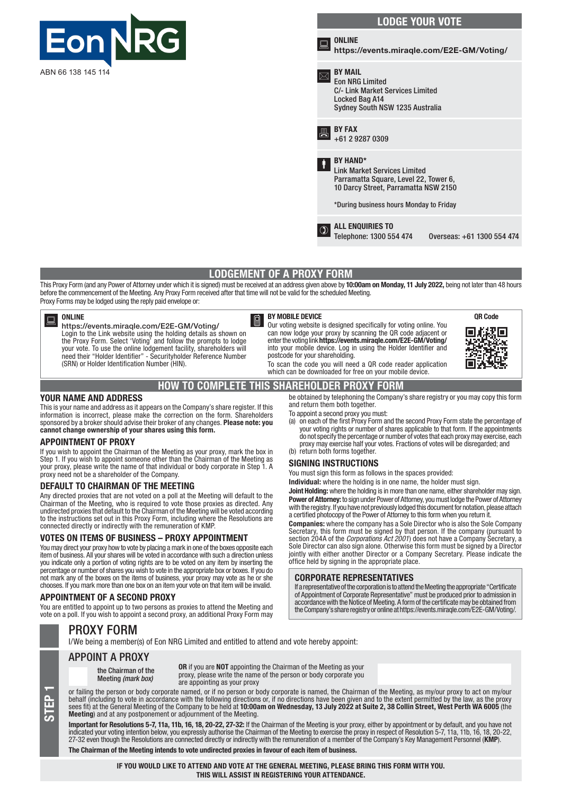

# LODGE YOUR VOTE



be obtained by telephoning the Company's share registry or you may copy this form

(a) on each of the first Proxy Form and the second Proxy Form state the percentage of your voting rights or number of shares applicable to that form. If the appointments do not specify the percentage or number of votes that each proxy may exercise, each proxy may exercise half your votes. Fractions of votes will be disregarded; and

Joint Holding: where the holding is in more than one name, either shareholder may sign. Power of Attorney: to sign under Power of Attorney, you must lodge the Power of Attorney<br>with the registry. If you have not previously lodged this document for notation, please attach

If a representative of the corporation is to attend the Meeting the appropriate "Certificate of Appointment of Corporate Representative" must be produced prior to admission in accordance with the Notice of Meeting. A form of the certificate may be obtained from the Company's share registry or online at https://events.miraqle.com/E2E-GM/Voting/.

a certified photocopy of the Power of Attorney to this form when you return it. Companies: where the company has a Sole Director who is also the Sole Company Secretary, this form must be signed by that person. If the company (pursuant to section 204A of the *Corporations Act 2001*) does not have a Company Secretary, a Sole Director can also sign alone. Otherwise this form must be signed by a Director jointly with either another Director or a Company Secretary. Please indicate the

## LODGEMENT OF A PROXY FORM

This Proxy Form (and any Power of Attorney under which it is signed) must be received at an address given above by 10:00am on Monday, 11 July 2022, being not later than 48 hours before the commencement of the Meeting. Any Proxy Form received after that time will not be valid for the scheduled Meeting. Proxy Forms may be lodged using the reply paid envelope or:

#### **ONLINE**

https://events.miraqle.com/E2E-GM/Voting/ Login to the Link website using the holding details as shown on the Proxy Form. Select 'Voting' and follow the prompts to lodge your vote. To use the online lodgement facility, shareholders will need their "Holder Identifier" - Securityholder Reference Number (SRN) or Holder Identification Number (HIN).

### BY MOBILE DEVICE

Our voting website is designed specifically for voting online. You can now lodge your proxy by scanning the QR code adjacent or enter the voting link https://events.miraqle.com/E2E-GM/Voting/ into your mobile device. Log in using the Holder Identifier and postcode for your shareholding.

> You must sign this form as follows in the spaces provided: Individual: where the holding is in one name, the holder must sign.

office held by signing in the appropriate place. CORPORATE REPRESENTATIVES



To scan the code you will need a QR code reader application which can be downloaded for free on your mobile device.

> and return them both together. To appoint a second proxy you must:

(b) return both forms together. SIGNING INSTRUCTIONS

## HOW TO COMPLETE THIS SHAREHOLDER PROXY FORM

#### YOUR NAME AND ADDRESS

This is your name and address as it appears on the Company's share register. If this information is incorrect, please make the correction on the form. Shareholders sponsored by a broker should advise their broker of any changes. Please note: you cannot change ownership of your shares using this form.

### APPOINTMENT OF PROXY

If you wish to appoint the Chairman of the Meeting as your proxy, mark the box in Step 1. If you wish to appoint someone other than the Chairman of the Meeting as your proxy, please write the name of that individual or body corporate in Step 1. A proxy need not be a shareholder of the Company.

### DEFAULT TO CHAIRMAN OF THE MEETING

Any directed proxies that are not voted on a poll at the Meeting will default to the Chairman of the Meeting, who is required to vote those proxies as directed. Any undirected proxies that default to the Chairman of the Meeting will be voted according to the instructions set out in this Proxy Form, including where the Resolutions are connected directly or indirectly with the remuneration of KMP.

### VOTES ON ITEMS OF BUSINESS – PROXY APPOINTMENT

You may direct your proxy how to vote by placing a mark in one of the boxes opposite each item of business. All your shares will be voted in accordance with such a direction unless you indicate only a portion of voting rights are to be voted on any item by inserting the percentage or number of shares you wish to vote in the appropriate box or boxes. If you do not mark any of the boxes on the items of business, your proxy may vote as he or she chooses. If you mark more than one box on an item your vote on that item will be invalid.

#### APPOINTMENT OF A SECOND PROXY

You are entitled to appoint up to two persons as proxies to attend the Meeting and vote on a poll. If you wish to appoint a second proxy, an additional Proxy Form may

### PROXY FORM

STEP

I/We being a member(s) of Eon NRG Limited and entitled to attend and vote hereby appoint:

APPOINT A PROXY

the Chairman of the Meeting *(mark box)*

OR if you are NOT appointing the Chairman of the Meeting as your proxy, please write the name of the person or body corporate you are appointing as your proxy

or failing the person or body corporate named, or if no person or body corporate is named, the Chairman of the Meeting, as my/our proxy to act on my/our behalf (including to vote in accordance with the following directions or, if no directions have been given and to the extent permitted by the law, as the proxy sees fit) at the General Meeting of the Company to be held at **10:00am on Wednesday, 13 July 2022 at Suite 2, 38 Collin Street, West Perth WA 6005** (the Meeting) and at any postponement or adjournment of the Meeting.

Important for Resolutions 5-7, 11a, 11b, 16, 18, 20-22, 27-32: If the Chairman of the Meeting is your proxy, either by appointment or by default, and you have not indicated your voting intention below, you expressly authorise the Chairman of the Meeting to exercise the proxy in respect of Resolution 5-7, 11a, 11b, 16, 18, 20-22,<br>27-32 even though the Resolutions are connected direct The Chairman of the Meeting intends to vote undirected proxies in favour of each item of business.

> IF YOU WOULD LIKE TO ATTEND AND VOTE AT THE GENERAL MEETING, PLEASE BRING THIS FORM WITH YOU. THIS WILL ASSIST IN REGISTERING YOUR ATTENDANCE.